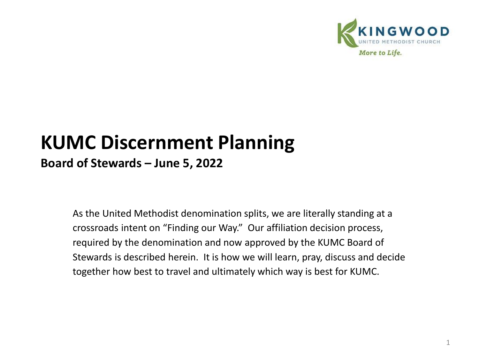

# **KUMC Discernment Planning**

**Board of Stewards – June 5, 2022**

As the United Methodist denomination splits, we are literally standing at a crossroads intent on "Finding our Way." Our affiliation decision process, required by the denomination and now approved by the KUMC Board of Stewards is described herein. It is how we will learn, pray, discuss and decide together how best to travel and ultimately which way is best for KUMC.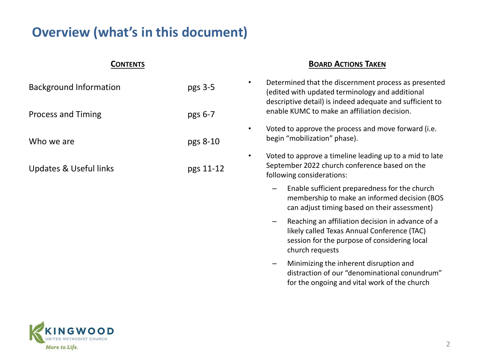### **Overview (what's in this document)**

| CONTENTS                          |           | <b>BOARD ACTIONS TAKEN</b>                                                                                                                                               |  |  |
|-----------------------------------|-----------|--------------------------------------------------------------------------------------------------------------------------------------------------------------------------|--|--|
| <b>Background Information</b>     | pgs 3-5   | Determined that the discernment process as presented<br>٠<br>(edited with updated terminology and additional<br>descriptive detail) is indeed adequate and sufficient to |  |  |
| <b>Process and Timing</b>         | pgs 6-7   | enable KUMC to make an affiliation decision.                                                                                                                             |  |  |
| Who we are                        | pgs 8-10  | Voted to approve the process and move forward (i.e.<br>$\bullet$<br>begin "mobilization" phase).                                                                         |  |  |
| <b>Updates &amp; Useful links</b> | pgs 11-12 | Voted to approve a timeline leading up to a mid to late<br>$\bullet$<br>September 2022 church conference based on the<br>following considerations:                       |  |  |
|                                   |           | Enable sufficient preparedness for the church<br>membership to make an informed decision (BOS<br>can adjust timing based on their assessment)                            |  |  |
|                                   |           | Reaching an affiliation decision in advance of a<br>likely called Texas Annual Conference (TAC)<br>session for the purpose of considering local<br>church requests       |  |  |
|                                   |           | Minimizing the inherent disruption and<br>distraction of our "denominational conundrum"<br>for the ongoing and vital work of the church                                  |  |  |

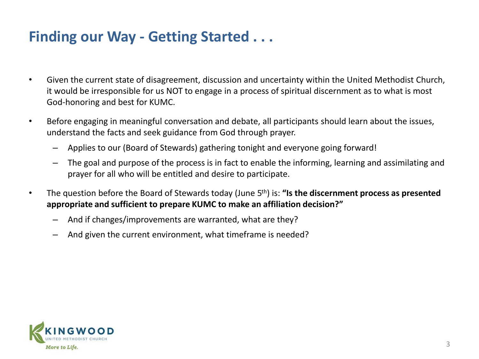## **Finding our Way - Getting Started . . .**

- Given the current state of disagreement, discussion and uncertainty within the United Methodist Church, it would be irresponsible for us NOT to engage in a process of spiritual discernment as to what is most God-honoring and best for KUMC.
- Before engaging in meaningful conversation and debate, all participants should learn about the issues, understand the facts and seek guidance from God through prayer.
	- Applies to our (Board of Stewards) gathering tonight and everyone going forward!
	- The goal and purpose of the process is in fact to enable the informing, learning and assimilating and prayer for all who will be entitled and desire to participate.
- The question before the Board of Stewards today (June 5<sup>th</sup>) is: "Is the discernment process as presented **appropriate and sufficient to prepare KUMC to make an affiliation decision?"**
	- And if changes/improvements are warranted, what are they?
	- And given the current environment, what timeframe is needed?

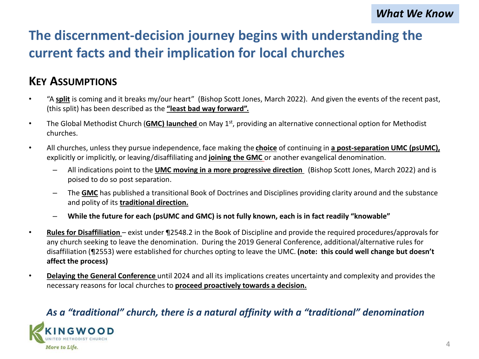## **The discernment-decision journey begins with understanding the current facts and their implication for local churches**

### **KEY ASSUMPTIONS**

- "A **split** is coming and it breaks my/our heart" (Bishop Scott Jones, March 2022). And given the events of the recent past, (this split) has been described as the **"least bad way forward".**
- The Global Methodist Church (**GMC) launched** on May 1st, providing an alternative connectional option for Methodist churches.
- All churches, unless they pursue independence, face making the **choice** of continuing in **a post-separation UMC (psUMC),**  explicitly or implicitly, or leaving/disaffiliating and **joining the GMC** or another evangelical denomination.
	- All indications point to the **UMC moving in a more progressive direction** (Bishop Scott Jones, March 2022) and is poised to do so post separation.
	- The **GMC** has published a transitional Book of Doctrines and Disciplines providing clarity around and the substance and polity of its **traditional direction.**
	- **While the future for each (psUMC and GMC) is not fully known, each is in fact readily "knowable"**
- **Rules for Disaffiliation**  exist under ¶2548.2 in the Book of Discipline and provide the required procedures/approvals for any church seeking to leave the denomination. During the 2019 General Conference, additional/alternative rules for disaffiliation (¶2553) were established for churches opting to leave the UMC. **(note: this could well change but doesn't affect the process)**
- **Delaying the General Conference** until 2024 and all its implications creates uncertainty and complexity and provides the necessary reasons for local churches to **proceed proactively towards a decision.**

#### *As a "traditional" church, there is a natural affinity with a "traditional" denomination*

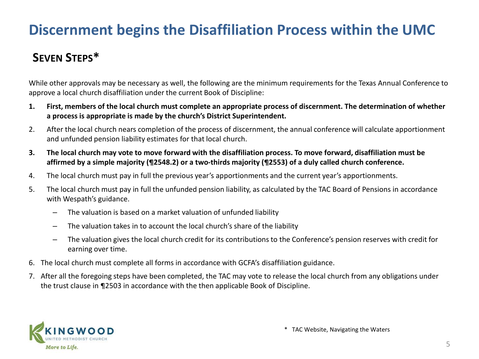## **Discernment begins the Disaffiliation Process within the UMC**

### **SEVEN STEPS\***

While other approvals may be necessary as well, the following are the minimum requirements for the Texas Annual Conference to approve a local church disaffiliation under the current Book of Discipline:

- **1. First, members of the local church must complete an appropriate process of discernment. The determination of whether a process is appropriate is made by the church's District Superintendent.**
- 2. After the local church nears completion of the process of discernment, the annual conference will calculate apportionment and unfunded pension liability estimates for that local church.
- **3. The local church may vote to move forward with the disaffiliation process. To move forward, disaffiliation must be affirmed by a simple majority (¶2548.2) or a two-thirds majority (¶2553) of a duly called church conference.**
- 4. The local church must pay in full the previous year's apportionments and the current year's apportionments.
- 5. The local church must pay in full the unfunded pension liability, as calculated by the TAC Board of Pensions in accordance with Wespath's guidance.
	- The valuation is based on a market valuation of unfunded liability
	- The valuation takes in to account the local church's share of the liability
	- The valuation gives the local church credit for its contributions to the Conference's pension reserves with credit for earning over time.
- 6. The local church must complete all forms in accordance with GCFA's disaffiliation guidance.
- 7. After all the foregoing steps have been completed, the TAC may vote to release the local church from any obligations under the trust clause in ¶2503 in accordance with the then applicable Book of Discipline.

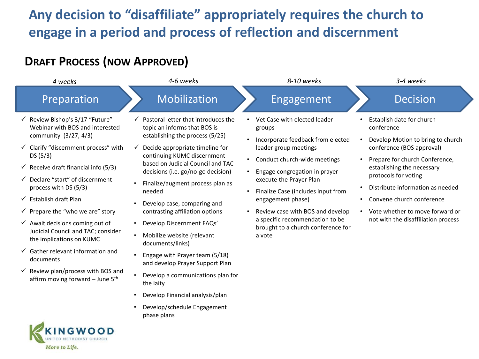## **Any decision to "disaffiliate" appropriately requires the church to engage in a period and process of reflection and discernment**

### **DRAFT PROCESS (NOW APPROVED)**

More to Life.

| 4 weeks                                                                                                                                                                                                                                                                                                                                                                                                                                                                                                                                                                                                                     | 4-6 weeks                                                                                                                                                                                                                                                                                                                                                                                                                                                                                                                                                                                                                                                                                                                                   | 8-10 weeks                                                                                                                                                                                                                                                                                                                                                                                                                  | 3-4 weeks                                                                                                                                                                                                                                                                                                                                                                           |  |
|-----------------------------------------------------------------------------------------------------------------------------------------------------------------------------------------------------------------------------------------------------------------------------------------------------------------------------------------------------------------------------------------------------------------------------------------------------------------------------------------------------------------------------------------------------------------------------------------------------------------------------|---------------------------------------------------------------------------------------------------------------------------------------------------------------------------------------------------------------------------------------------------------------------------------------------------------------------------------------------------------------------------------------------------------------------------------------------------------------------------------------------------------------------------------------------------------------------------------------------------------------------------------------------------------------------------------------------------------------------------------------------|-----------------------------------------------------------------------------------------------------------------------------------------------------------------------------------------------------------------------------------------------------------------------------------------------------------------------------------------------------------------------------------------------------------------------------|-------------------------------------------------------------------------------------------------------------------------------------------------------------------------------------------------------------------------------------------------------------------------------------------------------------------------------------------------------------------------------------|--|
| Preparation                                                                                                                                                                                                                                                                                                                                                                                                                                                                                                                                                                                                                 | Mobilization                                                                                                                                                                                                                                                                                                                                                                                                                                                                                                                                                                                                                                                                                                                                | Engagement                                                                                                                                                                                                                                                                                                                                                                                                                  | <b>Decision</b>                                                                                                                                                                                                                                                                                                                                                                     |  |
| Review Bishop's 3/17 "Future"<br>$\checkmark$<br>Webinar with BOS and interested<br>community (3/27, 4/3)<br>Clarify "discernment process" with<br>DS(5/3)<br>Receive draft financial info (5/3)<br>Declare "start" of discernment<br>process with DS (5/3)<br>Establish draft Plan<br>$\checkmark$<br>$\checkmark$ Prepare the "who we are" story<br>$\checkmark$ Await decisions coming out of<br>Judicial Council and TAC; consider<br>the implications on KUMC<br>Gather relevant information and<br>$\checkmark$<br>documents<br>Review plan/process with BOS and<br>✓<br>affirm moving forward - June 5 <sup>th</sup> | Pastoral letter that introduces the<br>$\checkmark$<br>topic an informs that BOS is<br>establishing the process (5/25)<br>Decide appropriate timeline for<br>continuing KUMC discernment<br>based on Judicial Council and TAC<br>decisions (i.e. go/no-go decision)<br>Finalize/augment process plan as<br>$\bullet$<br>needed<br>Develop case, comparing and<br>contrasting affiliation options<br>Develop Discernment FAQs'<br>$\bullet$<br>Mobilize website (relevant<br>$\bullet$<br>documents/links)<br>Engage with Prayer team (5/18)<br>$\bullet$<br>and develop Prayer Support Plan<br>Develop a communications plan for<br>the laity<br>Develop Financial analysis/plan<br>$\bullet$<br>Develop/schedule Engagement<br>phase plans | Vet Case with elected leader<br>$\bullet$<br>groups<br>Incorporate feedback from elected<br>leader group meetings<br>Conduct church-wide meetings<br>$\bullet$<br>Engage congregation in prayer -<br>execute the Prayer Plan<br>Finalize Case (includes input from<br>$\bullet$<br>engagement phase)<br>Review case with BOS and develop<br>a specific recommendation to be<br>brought to a church conference for<br>a vote | Establish date for church<br>conference<br>Develop Motion to bring to church<br>conference (BOS approval)<br>Prepare for church Conference,<br>$\bullet$<br>establishing the necessary<br>protocols for voting<br>Distribute information as needed<br>$\bullet$<br>Convene church conference<br>$\bullet$<br>Vote whether to move forward or<br>not with the disaffiliation process |  |
| KINGWOOD                                                                                                                                                                                                                                                                                                                                                                                                                                                                                                                                                                                                                    |                                                                                                                                                                                                                                                                                                                                                                                                                                                                                                                                                                                                                                                                                                                                             |                                                                                                                                                                                                                                                                                                                                                                                                                             |                                                                                                                                                                                                                                                                                                                                                                                     |  |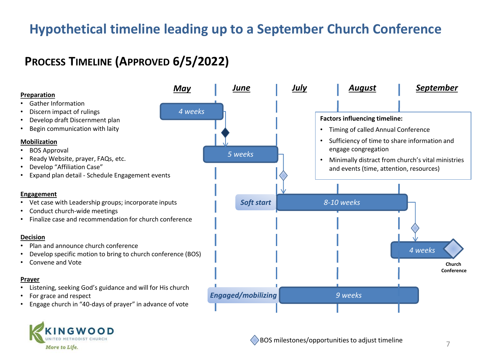### **Hypothetical timeline leading up to a September Church Conference**

### **PROCESS TIMELINE (APPROVED 6/5/2022)**



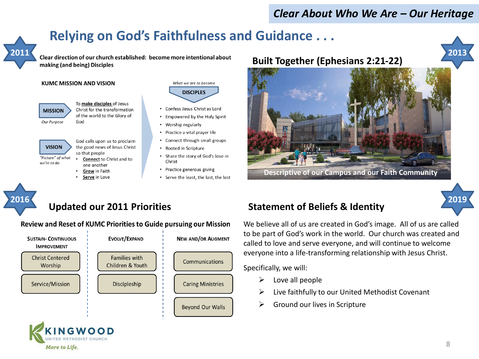#### *Clear About Who We Are – Our Heritage*

## **Relying on God's Faithfulness and Guidance . . .**



Clear direction of our church established: become more intentional about making (and being) Disciples

#### **KUMC MISSION AND VISION**



To make disciples of Jesus Christ for the transformation of the world to the Glory of God

**VISION** "Picture" of what

we're to do

God calls upon us to proclaim the good news of Jesus Christ so that people

- **Connect to Christ and to** one another
- Grow in Faith Serve in Love

NGWOO METHODIST CHURC

More to Life.

What we are to become **DISCIPLES** 

- Confess Jesus Christ as Lord
- Empowered by the Holy Spirit
- Worship regularly
- Practice a vital prayer life
- Connect through small groups
- Rooted in Scripture
- Share the story of God's love in Christ
- Practice generous giving
- Serve the least, the last, the lost

#### **Built Together (Ephesians 2:21-22)**



**Descriptive of our Campus and our Faith Community**



#### **Updated our 2011 Priorities**

#### Review and Reset of KUMC Priorities to Guide pursuing our Mission



#### **Statement of Beliefs & Identity**

We believe all of us are created in God's image. All of us are called to be part of God's work in the world. Our church was created and called to love and serve everyone, and will continue to welcome everyone into a life-transforming relationship with Jesus Christ.

Specifically, we will:

- $\triangleright$  Love all people
- ➢ Live faithfully to our United Methodist Covenant
- $\triangleright$  Ground our lives in Scripture

**2013**

**2019**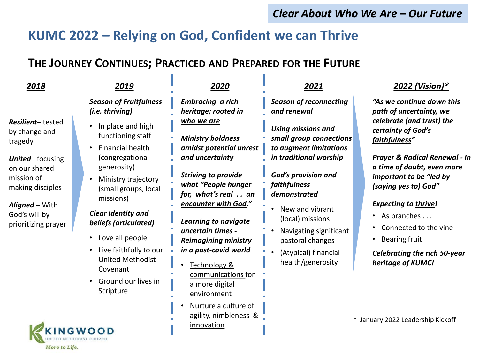#### *Clear About Who We Are – Our Future*

### **KUMC 2022 – Relying on God, Confident we can Thrive**

### **THE JOURNEY CONTINUES; PRACTICED AND PREPARED FOR THE FUTURE**

 $\mathbf{R}$ 

UNITED METHODIST CHURCH

More to Life.

| 2018                                                                                                                                                                                          | 2019                                                                                                                                                                                                                                                                                                                                                                                                          | 2020                                                                                                                                                                                                                                                                                                                                                                                                                                | 2021                                                                                                                                                                                                                                                                                                                                                     | 2022 (Vision)*                                                                                                                                                                                                                                                                                                                                                                                                            |
|-----------------------------------------------------------------------------------------------------------------------------------------------------------------------------------------------|---------------------------------------------------------------------------------------------------------------------------------------------------------------------------------------------------------------------------------------------------------------------------------------------------------------------------------------------------------------------------------------------------------------|-------------------------------------------------------------------------------------------------------------------------------------------------------------------------------------------------------------------------------------------------------------------------------------------------------------------------------------------------------------------------------------------------------------------------------------|----------------------------------------------------------------------------------------------------------------------------------------------------------------------------------------------------------------------------------------------------------------------------------------------------------------------------------------------------------|---------------------------------------------------------------------------------------------------------------------------------------------------------------------------------------------------------------------------------------------------------------------------------------------------------------------------------------------------------------------------------------------------------------------------|
| <b>Resilient-</b> tested<br>by change and<br>tragedy<br><b>United</b> - focusing<br>on our shared<br>mission of<br>making disciples<br>Aligned - With<br>God's will by<br>prioritizing prayer | <b>Season of Fruitfulness</b><br>(i.e. thriving)<br>In place and high<br>functioning staff<br>Financial health<br>$\bullet$<br>(congregational<br>generosity)<br>Ministry trajectory<br>(small groups, local<br>missions)<br>Clear Identity and<br>beliefs (articulated)<br>Love all people<br>$\bullet$<br>Live faithfully to our<br><b>United Methodist</b><br>Covenant<br>Ground our lives in<br>Scripture | <b>Embracing a rich</b><br>heritage; rooted in<br>who we are<br><b>Ministry boldness</b><br>amidst potential unrest<br>and uncertainty<br><b>Striving to provide</b><br>what "People hunger<br>for, what's real an<br>encounter with God."<br>Learning to navigate<br>uncertain times -<br><b>Reimagining ministry</b><br>in a post-covid world<br>Technology &<br>$\bullet$<br>communications for<br>a more digital<br>environment | <b>Season of reconnecting</b><br>and renewal<br><b>Using missions and</b><br>small group connections<br>to augment limitations<br>in traditional worship<br><b>God's provision and</b><br>faithfulness<br>demonstrated<br>New and vibrant<br>(local) missions<br>Navigating significant<br>pastoral changes<br>(Atypical) financial<br>health/generosity | "As we continue down this<br>path of uncertainty, we<br>celebrate (and trust) the<br>certainty of God's<br>faithfulness"<br><b>Prayer &amp; Radical Renewal - In</b><br>a time of doubt, even more<br>important to be "led by<br>(saying yes to) God"<br><b>Expecting to thrive!</b><br>• As branches<br>Connected to the vine<br><b>Bearing fruit</b><br><b>Celebrating the rich 50-year</b><br>heritage of <b>KUMC!</b> |
|                                                                                                                                                                                               | <b>NGWOOD</b>                                                                                                                                                                                                                                                                                                                                                                                                 | Nurture a culture of<br>agility, nimbleness &<br>innovation                                                                                                                                                                                                                                                                                                                                                                         |                                                                                                                                                                                                                                                                                                                                                          | * January 2022 Leadership Kickoff                                                                                                                                                                                                                                                                                                                                                                                         |

×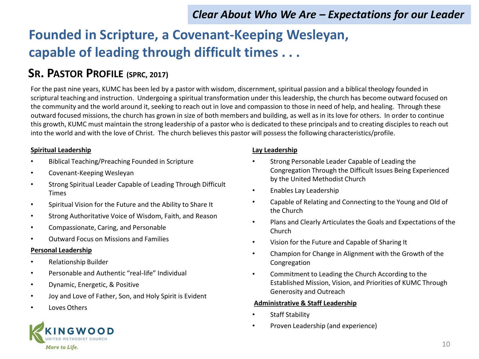### *Clear About Who We Are – Expectations for our Leader*

## **Founded in Scripture, a Covenant-Keeping Wesleyan, capable of leading through difficult times . . .**

### **SR. PASTOR PROFILE (SPRC, 2017)**

For the past nine years, KUMC has been led by a pastor with wisdom, discernment, spiritual passion and a biblical theology founded in scriptural teaching and instruction. Undergoing a spiritual transformation under this leadership, the church has become outward focused on the community and the world around it, seeking to reach out in love and compassion to those in need of help, and healing. Through these outward focused missions, the church has grown in size of both members and building, as well as in its love for others. In order to continue this growth, KUMC must maintain the strong leadership of a pastor who is dedicated to these principals and to creating disciples to reach out into the world and with the love of Christ. The church believes this pastor will possess the following characteristics/profile.

#### **Spiritual Leadership**

- Biblical Teaching/Preaching Founded in Scripture
- Covenant-Keeping Wesleyan
- Strong Spiritual Leader Capable of Leading Through Difficult Times
- Spiritual Vision for the Future and the Ability to Share It
- Strong Authoritative Voice of Wisdom, Faith, and Reason
- Compassionate, Caring, and Personable
- Outward Focus on Missions and Families

#### **Personal Leadership**

- Relationship Builder
- Personable and Authentic "real-life" Individual
- Dynamic, Energetic, & Positive
- Joy and Love of Father, Son, and Holy Spirit is Evident
- Loves Others

#### **Lay Leadership**

- Strong Personable Leader Capable of Leading the Congregation Through the Difficult Issues Being Experienced by the United Methodist Church
- Enables Lay Leadership
- Capable of Relating and Connecting to the Young and Old of the Church
- Plans and Clearly Articulates the Goals and Expectations of the Church
- Vision for the Future and Capable of Sharing It
- Champion for Change in Alignment with the Growth of the Congregation
- Commitment to Leading the Church According to the Established Mission, Vision, and Priorities of KUMC Through Generosity and Outreach

#### **Administrative & Staff Leadership**

- Staff Stability
- Proven Leadership (and experience)

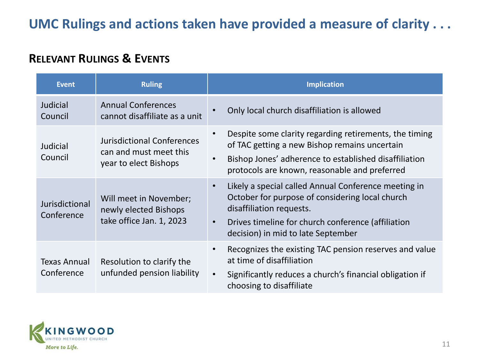### **UMC Rulings and actions taken have provided a measure of clarity . . .**

### **RELEVANT RULINGS & EVENTS**

| <b>Event</b>                      | <b>Ruling</b>                                                                        | <b>Implication</b>                                                                                                                                                                                                                                        |
|-----------------------------------|--------------------------------------------------------------------------------------|-----------------------------------------------------------------------------------------------------------------------------------------------------------------------------------------------------------------------------------------------------------|
| Judicial<br>Council               | <b>Annual Conferences</b><br>cannot disaffiliate as a unit                           | Only local church disaffiliation is allowed                                                                                                                                                                                                               |
| Judicial<br>Council               | <b>Jurisdictional Conferences</b><br>can and must meet this<br>year to elect Bishops | Despite some clarity regarding retirements, the timing<br>of TAC getting a new Bishop remains uncertain<br>Bishop Jones' adherence to established disaffiliation<br>$\bullet$<br>protocols are known, reasonable and preferred                            |
| Jurisdictional<br>Conference      | Will meet in November;<br>newly elected Bishops<br>take office Jan. 1, 2023          | Likely a special called Annual Conference meeting in<br>$\bullet$<br>October for purpose of considering local church<br>disaffiliation requests.<br>Drives timeline for church conference (affiliation<br>$\bullet$<br>decision) in mid to late September |
| <b>Texas Annual</b><br>Conference | Resolution to clarify the<br>unfunded pension liability                              | Recognizes the existing TAC pension reserves and value<br>$\bullet$<br>at time of disaffiliation<br>Significantly reduces a church's financial obligation if<br>$\bullet$<br>choosing to disaffiliate                                                     |